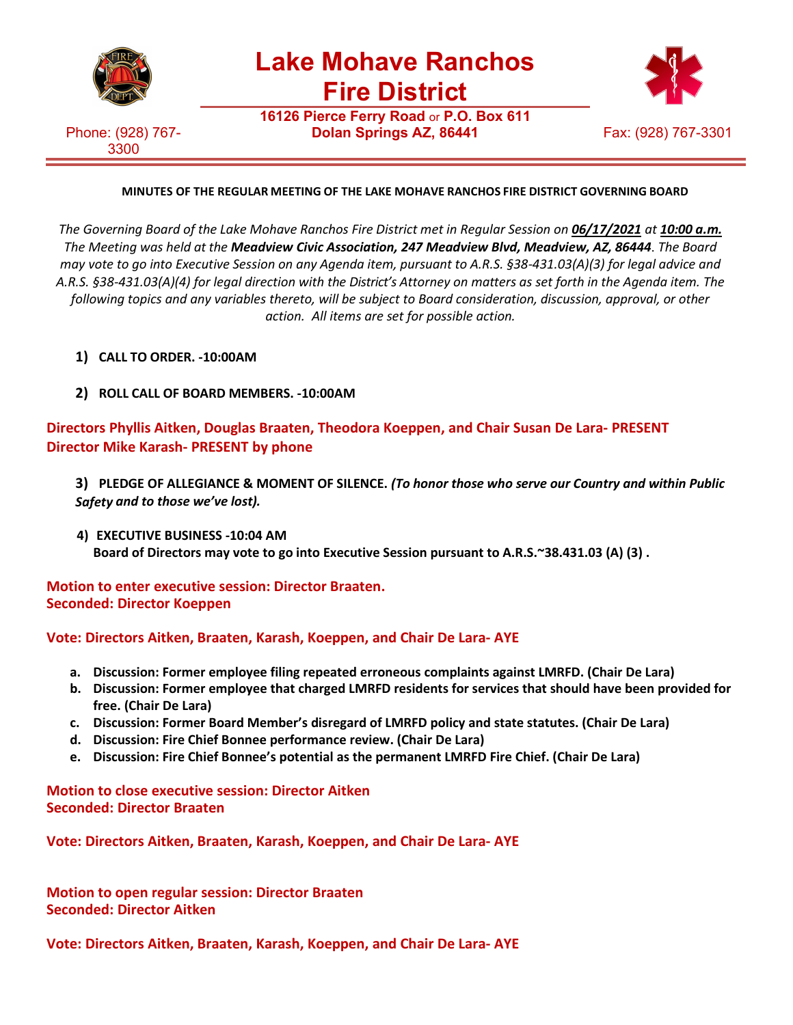

**Lake Mohave Ranchos Fire District**

**16126 Pierce Ferry Road** or **P.O. Box 611**

Phone: (928) 767- 3300



# **MINUTES OF THE REGULAR MEETING OF THE LAKE MOHAVE RANCHOS FIRE DISTRICT GOVERNING BOARD**

*The Governing Board of the Lake Mohave Ranchos Fire District met in Regular Session on 06/17/2021 at 10:00 a.m. The Meeting was held at the Meadview Civic Association, 247 Meadview Blvd, Meadview, AZ, 86444*. *The Board may vote to go into Executive Session on any Agenda item, pursuant to A.R.S. §38-431.03(A)(3) for legal advice and A.R.S. §38-431.03(A)(4) for legal direction with the District's Attorney on matters as set forth in the Agenda item. The following topics and any variables thereto, will be subject to Board consideration, discussion, approval, or other action. All items are set for possible action.*

- **1) CALL TO ORDER. -10:00AM**
- **2) ROLL CALL OF BOARD MEMBERS. -10:00AM**

**Directors Phyllis Aitken, Douglas Braaten, Theodora Koeppen, and Chair Susan De Lara- PRESENT Director Mike Karash- PRESENT by phone**

**3) PLEDGE OF ALLEGIANCE & MOMENT OF SILENCE.** *(To honor those who serve our Country and within Public Safety and to those we've lost).*

**4) EXECUTIVE BUSINESS -10:04 AM Board of Directors may vote to go into Executive Session pursuant to A.R.S.~38.431.03 (A) (3) .**

**Motion to enter executive session: Director Braaten. Seconded: Director Koeppen**

**Vote: Directors Aitken, Braaten, Karash, Koeppen, and Chair De Lara- AYE**

- **a. Discussion: Former employee filing repeated erroneous complaints against LMRFD. (Chair De Lara)**
- **b. Discussion: Former employee that charged LMRFD residents for services that should have been provided for free. (Chair De Lara)**
- **c. Discussion: Former Board Member's disregard of LMRFD policy and state statutes. (Chair De Lara)**
- **d. Discussion: Fire Chief Bonnee performance review. (Chair De Lara)**
- **e. Discussion: Fire Chief Bonnee's potential as the permanent LMRFD Fire Chief. (Chair De Lara)**

**Motion to close executive session: Director Aitken Seconded: Director Braaten**

**Vote: Directors Aitken, Braaten, Karash, Koeppen, and Chair De Lara- AYE**

**Motion to open regular session: Director Braaten Seconded: Director Aitken**

**Vote: Directors Aitken, Braaten, Karash, Koeppen, and Chair De Lara- AYE**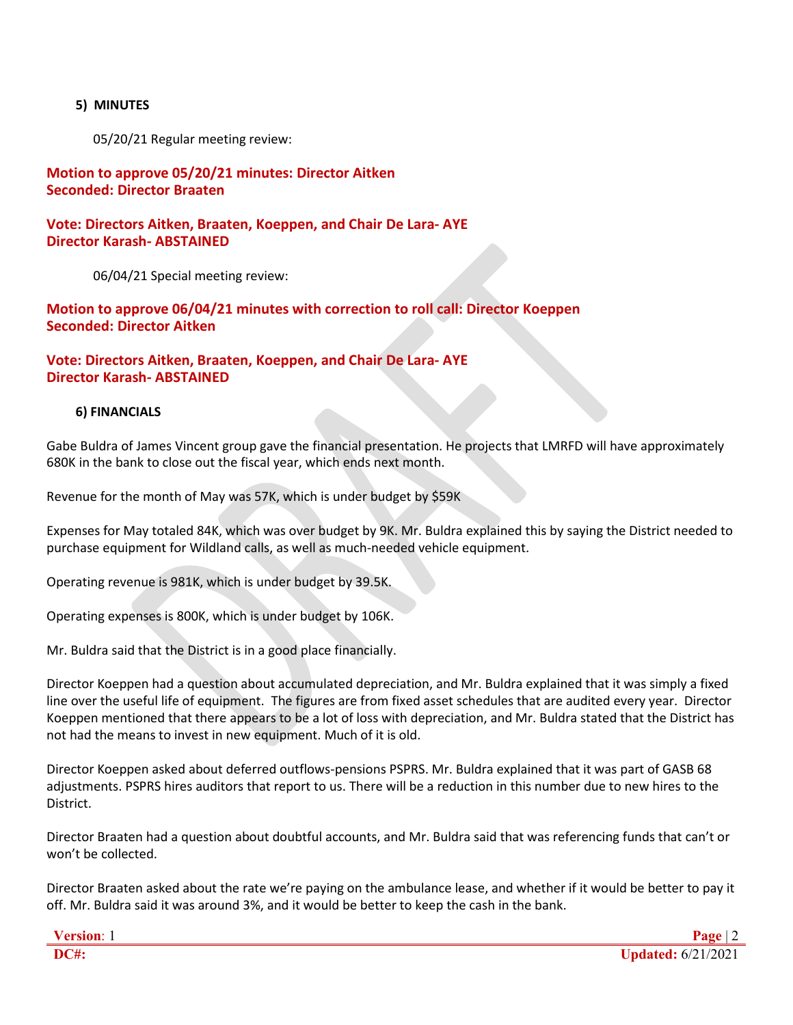#### **5) MINUTES**

05/20/21 Regular meeting review:

## **Motion to approve 05/20/21 minutes: Director Aitken Seconded: Director Braaten**

**Vote: Directors Aitken, Braaten, Koeppen, and Chair De Lara- AYE Director Karash- ABSTAINED**

06/04/21 Special meeting review:

# **Motion to approve 06/04/21 minutes with correction to roll call: Director Koeppen Seconded: Director Aitken**

# **Vote: Directors Aitken, Braaten, Koeppen, and Chair De Lara- AYE Director Karash- ABSTAINED**

#### **6) FINANCIALS**

Gabe Buldra of James Vincent group gave the financial presentation. He projects that LMRFD will have approximately 680K in the bank to close out the fiscal year, which ends next month.

Revenue for the month of May was 57K, which is under budget by \$59K

Expenses for May totaled 84K, which was over budget by 9K. Mr. Buldra explained this by saying the District needed to purchase equipment for Wildland calls, as well as much-needed vehicle equipment.

Operating revenue is 981K, which is under budget by 39.5K.

Operating expenses is 800K, which is under budget by 106K.

Mr. Buldra said that the District is in a good place financially.

Director Koeppen had a question about accumulated depreciation, and Mr. Buldra explained that it was simply a fixed line over the useful life of equipment. The figures are from fixed asset schedules that are audited every year. Director Koeppen mentioned that there appears to be a lot of loss with depreciation, and Mr. Buldra stated that the District has not had the means to invest in new equipment. Much of it is old.

Director Koeppen asked about deferred outflows-pensions PSPRS. Mr. Buldra explained that it was part of GASB 68 adjustments. PSPRS hires auditors that report to us. There will be a reduction in this number due to new hires to the District.

Director Braaten had a question about doubtful accounts, and Mr. Buldra said that was referencing funds that can't or won't be collected.

Director Braaten asked about the rate we're paying on the ambulance lease, and whether if it would be better to pay it off. Mr. Buldra said it was around 3%, and it would be better to keep the cash in the bank.

| <b>Version:</b> |                           |
|-----------------|---------------------------|
| <b>DC#:</b>     | <b>Updated:</b> 6/21/2021 |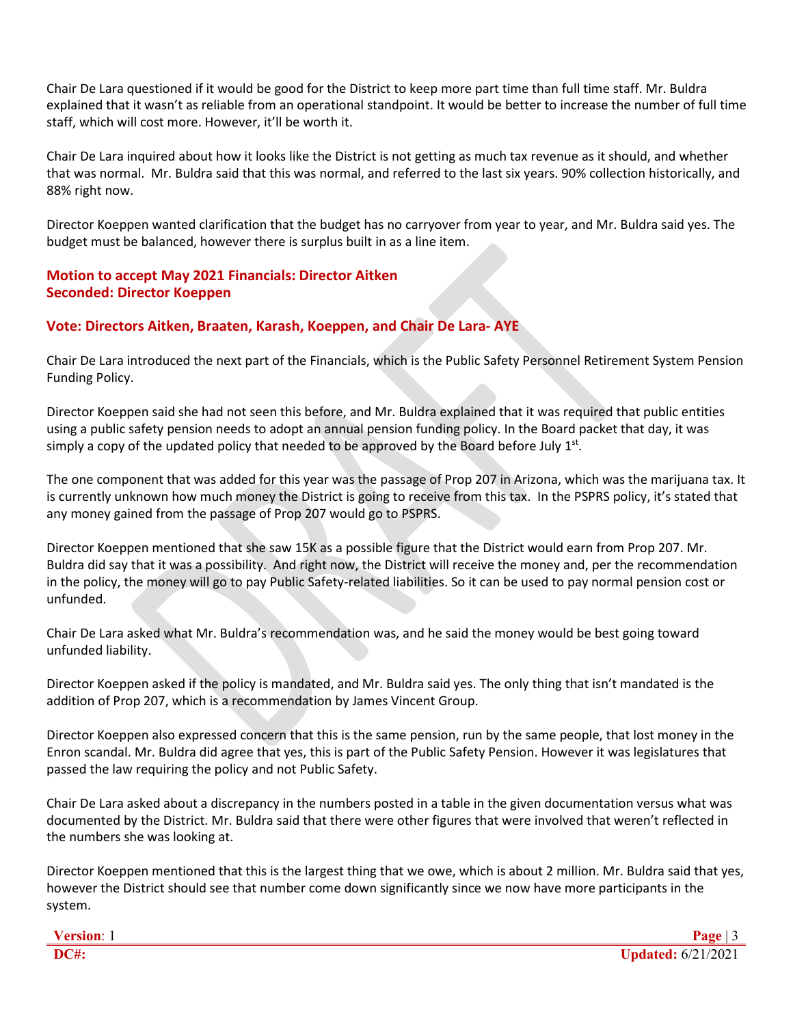Chair De Lara questioned if it would be good for the District to keep more part time than full time staff. Mr. Buldra explained that it wasn't as reliable from an operational standpoint. It would be better to increase the number of full time staff, which will cost more. However, it'll be worth it.

Chair De Lara inquired about how it looks like the District is not getting as much tax revenue as it should, and whether that was normal. Mr. Buldra said that this was normal, and referred to the last six years. 90% collection historically, and 88% right now.

Director Koeppen wanted clarification that the budget has no carryover from year to year, and Mr. Buldra said yes. The budget must be balanced, however there is surplus built in as a line item.

# **Motion to accept May 2021 Financials: Director Aitken Seconded: Director Koeppen**

# **Vote: Directors Aitken, Braaten, Karash, Koeppen, and Chair De Lara- AYE**

Chair De Lara introduced the next part of the Financials, which is the Public Safety Personnel Retirement System Pension Funding Policy.

Director Koeppen said she had not seen this before, and Mr. Buldra explained that it was required that public entities using a public safety pension needs to adopt an annual pension funding policy. In the Board packet that day, it was simply a copy of the updated policy that needed to be approved by the Board before July  $1<sup>st</sup>$ .

The one component that was added for this year was the passage of Prop 207 in Arizona, which was the marijuana tax. It is currently unknown how much money the District is going to receive from this tax. In the PSPRS policy, it's stated that any money gained from the passage of Prop 207 would go to PSPRS.

Director Koeppen mentioned that she saw 15K as a possible figure that the District would earn from Prop 207. Mr. Buldra did say that it was a possibility. And right now, the District will receive the money and, per the recommendation in the policy, the money will go to pay Public Safety-related liabilities. So it can be used to pay normal pension cost or unfunded.

Chair De Lara asked what Mr. Buldra's recommendation was, and he said the money would be best going toward unfunded liability.

Director Koeppen asked if the policy is mandated, and Mr. Buldra said yes. The only thing that isn't mandated is the addition of Prop 207, which is a recommendation by James Vincent Group.

Director Koeppen also expressed concern that this is the same pension, run by the same people, that lost money in the Enron scandal. Mr. Buldra did agree that yes, this is part of the Public Safety Pension. However it was legislatures that passed the law requiring the policy and not Public Safety.

Chair De Lara asked about a discrepancy in the numbers posted in a table in the given documentation versus what was documented by the District. Mr. Buldra said that there were other figures that were involved that weren't reflected in the numbers she was looking at.

Director Koeppen mentioned that this is the largest thing that we owe, which is about 2 million. Mr. Buldra said that yes, however the District should see that number come down significantly since we now have more participants in the system.

| <b>Version:</b> |                               |
|-----------------|-------------------------------|
| <b>DC#:</b>     | $J_{\text{plated}:6/21/2021}$ |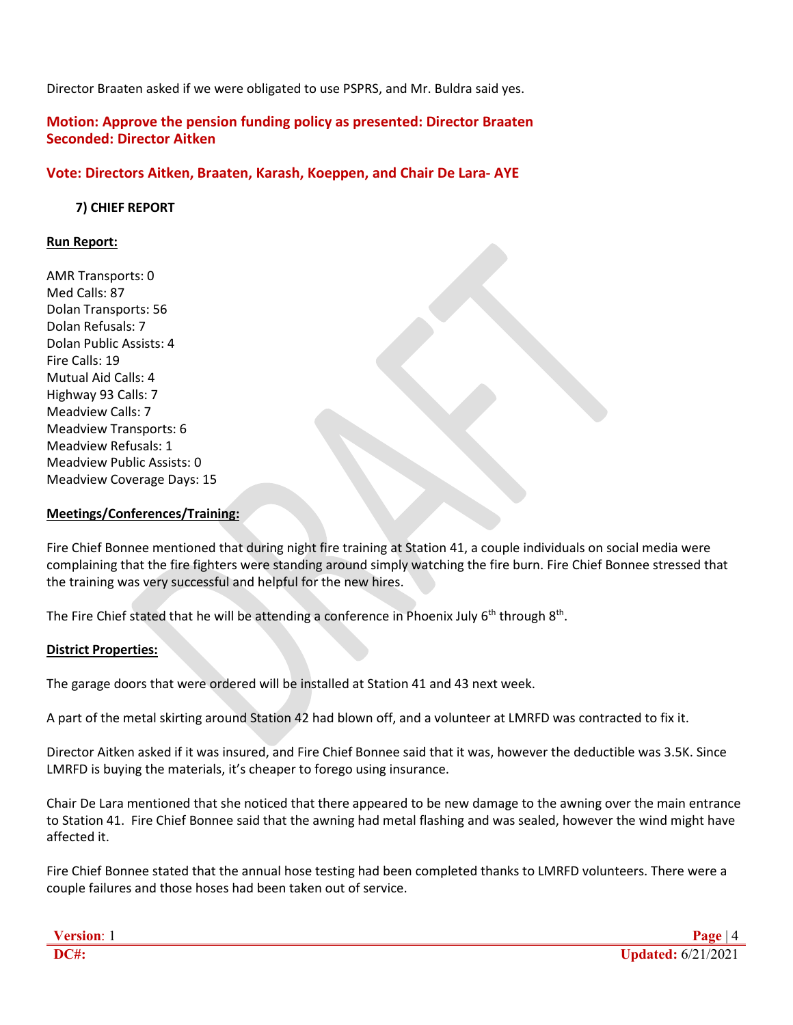Director Braaten asked if we were obligated to use PSPRS, and Mr. Buldra said yes.

**Motion: Approve the pension funding policy as presented: Director Braaten Seconded: Director Aitken**

#### **Vote: Directors Aitken, Braaten, Karash, Koeppen, and Chair De Lara- AYE**

 **7) CHIEF REPORT**

#### **Run Report:**

AMR Transports: 0 Med Calls: 87 Dolan Transports: 56 Dolan Refusals: 7 Dolan Public Assists: 4 Fire Calls: 19 Mutual Aid Calls: 4 Highway 93 Calls: 7 Meadview Calls: 7 Meadview Transports: 6 Meadview Refusals: 1 Meadview Public Assists: 0 Meadview Coverage Days: 15

#### **Meetings/Conferences/Training:**

Fire Chief Bonnee mentioned that during night fire training at Station 41, a couple individuals on social media were complaining that the fire fighters were standing around simply watching the fire burn. Fire Chief Bonnee stressed that the training was very successful and helpful for the new hires.

The Fire Chief stated that he will be attending a conference in Phoenix July  $6<sup>th</sup>$  through  $8<sup>th</sup>$ .

#### **District Properties:**

The garage doors that were ordered will be installed at Station 41 and 43 next week.

A part of the metal skirting around Station 42 had blown off, and a volunteer at LMRFD was contracted to fix it.

Director Aitken asked if it was insured, and Fire Chief Bonnee said that it was, however the deductible was 3.5K. Since LMRFD is buying the materials, it's cheaper to forego using insurance.

Chair De Lara mentioned that she noticed that there appeared to be new damage to the awning over the main entrance to Station 41. Fire Chief Bonnee said that the awning had metal flashing and was sealed, however the wind might have affected it.

Fire Chief Bonnee stated that the annual hose testing had been completed thanks to LMRFD volunteers. There were a couple failures and those hoses had been taken out of service.

| <b>Version:</b> |                    |
|-----------------|--------------------|
| <b>DC#:</b>     | Updated: 6/21/2021 |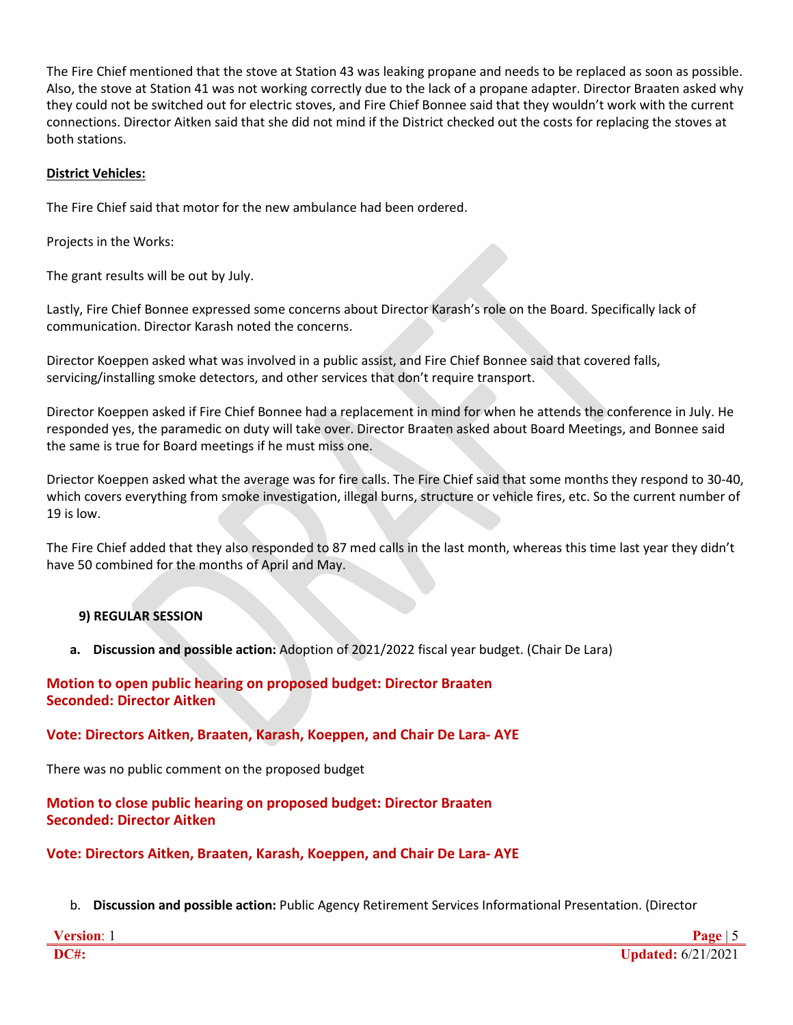The Fire Chief mentioned that the stove at Station 43 was leaking propane and needs to be replaced as soon as possible. Also, the stove at Station 41 was not working correctly due to the lack of a propane adapter. Director Braaten asked why they could not be switched out for electric stoves, and Fire Chief Bonnee said that they wouldn't work with the current connections. Director Aitken said that she did not mind if the District checked out the costs for replacing the stoves at both stations.

#### **District Vehicles:**

The Fire Chief said that motor for the new ambulance had been ordered.

Projects in the Works:

The grant results will be out by July.

Lastly, Fire Chief Bonnee expressed some concerns about Director Karash's role on the Board. Specifically lack of communication. Director Karash noted the concerns.

Director Koeppen asked what was involved in a public assist, and Fire Chief Bonnee said that covered falls, servicing/installing smoke detectors, and other services that don't require transport.

Director Koeppen asked if Fire Chief Bonnee had a replacement in mind for when he attends the conference in July. He responded yes, the paramedic on duty will take over. Director Braaten asked about Board Meetings, and Bonnee said the same is true for Board meetings if he must miss one.

Driector Koeppen asked what the average was for fire calls. The Fire Chief said that some months they respond to 30-40, which covers everything from smoke investigation, illegal burns, structure or vehicle fires, etc. So the current number of 19 is low.

The Fire Chief added that they also responded to 87 med calls in the last month, whereas this time last year they didn't have 50 combined for the months of April and May.

# **9) REGULAR SESSION**

**a. Discussion and possible action:** Adoption of 2021/2022 fiscal year budget. (Chair De Lara)

## **Motion to open public hearing on proposed budget: Director Braaten Seconded: Director Aitken**

# **Vote: Directors Aitken, Braaten, Karash, Koeppen, and Chair De Lara- AYE**

There was no public comment on the proposed budget

**Motion to close public hearing on proposed budget: Director Braaten Seconded: Director Aitken**

**Vote: Directors Aitken, Braaten, Karash, Koeppen, and Chair De Lara- AYE**

b. **Discussion and possible action:** Public Agency Retirement Services Informational Presentation. (Director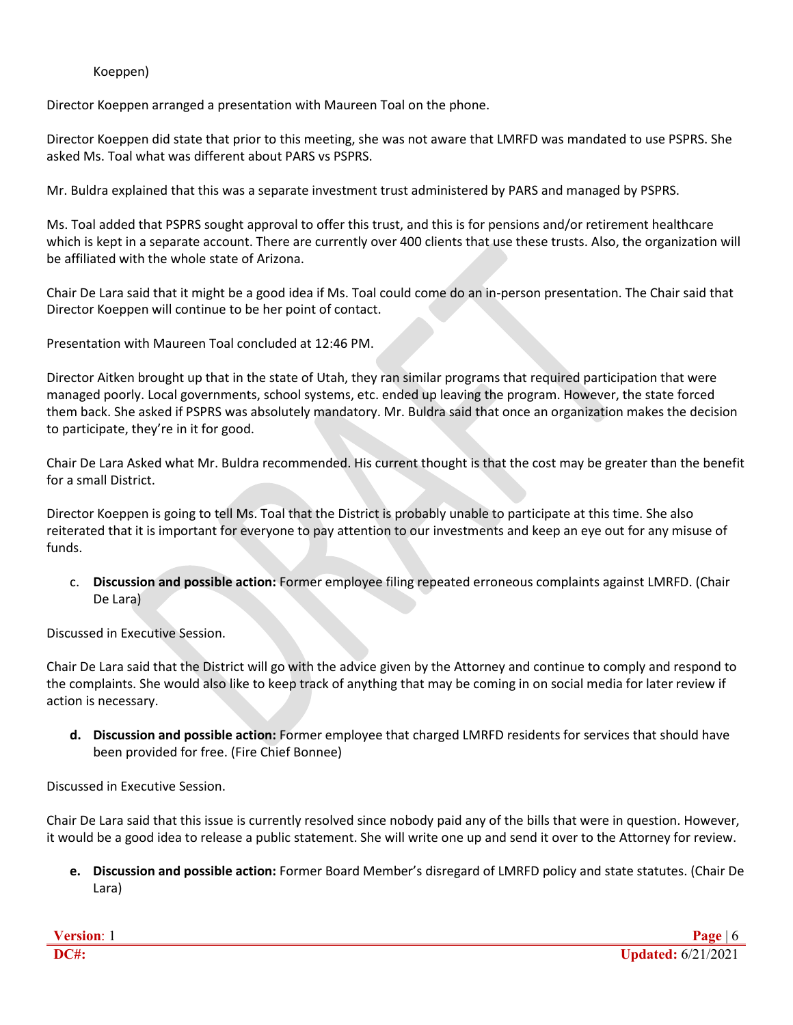## Koeppen)

Director Koeppen arranged a presentation with Maureen Toal on the phone.

Director Koeppen did state that prior to this meeting, she was not aware that LMRFD was mandated to use PSPRS. She asked Ms. Toal what was different about PARS vs PSPRS.

Mr. Buldra explained that this was a separate investment trust administered by PARS and managed by PSPRS.

Ms. Toal added that PSPRS sought approval to offer this trust, and this is for pensions and/or retirement healthcare which is kept in a separate account. There are currently over 400 clients that use these trusts. Also, the organization will be affiliated with the whole state of Arizona.

Chair De Lara said that it might be a good idea if Ms. Toal could come do an in-person presentation. The Chair said that Director Koeppen will continue to be her point of contact.

Presentation with Maureen Toal concluded at 12:46 PM.

Director Aitken brought up that in the state of Utah, they ran similar programs that required participation that were managed poorly. Local governments, school systems, etc. ended up leaving the program. However, the state forced them back. She asked if PSPRS was absolutely mandatory. Mr. Buldra said that once an organization makes the decision to participate, they're in it for good.

Chair De Lara Asked what Mr. Buldra recommended. His current thought is that the cost may be greater than the benefit for a small District.

Director Koeppen is going to tell Ms. Toal that the District is probably unable to participate at this time. She also reiterated that it is important for everyone to pay attention to our investments and keep an eye out for any misuse of funds.

c. **Discussion and possible action:** Former employee filing repeated erroneous complaints against LMRFD. (Chair De Lara)

Discussed in Executive Session.

Chair De Lara said that the District will go with the advice given by the Attorney and continue to comply and respond to the complaints. She would also like to keep track of anything that may be coming in on social media for later review if action is necessary.

**d. Discussion and possible action:** Former employee that charged LMRFD residents for services that should have been provided for free. (Fire Chief Bonnee)

Discussed in Executive Session.

Chair De Lara said that this issue is currently resolved since nobody paid any of the bills that were in question. However, it would be a good idea to release a public statement. She will write one up and send it over to the Attorney for review.

**e. Discussion and possible action:** Former Board Member's disregard of LMRFD policy and state statutes. (Chair De Lara)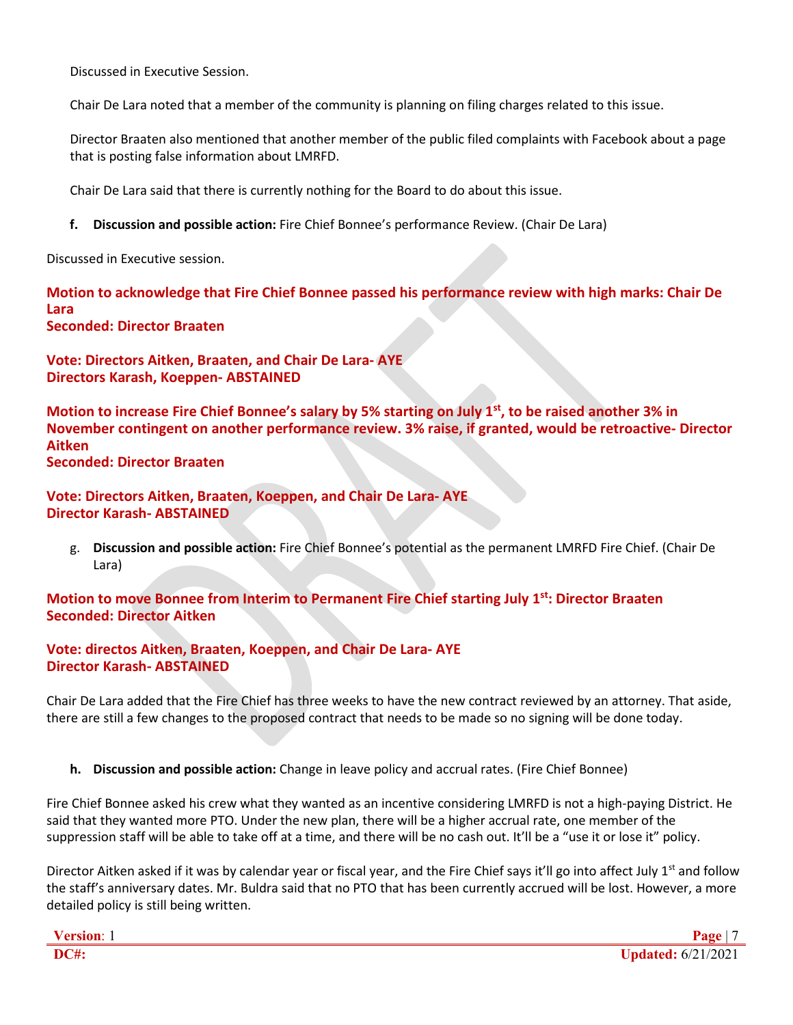Discussed in Executive Session.

Chair De Lara noted that a member of the community is planning on filing charges related to this issue.

Director Braaten also mentioned that another member of the public filed complaints with Facebook about a page that is posting false information about LMRFD.

Chair De Lara said that there is currently nothing for the Board to do about this issue.

**f. Discussion and possible action:** Fire Chief Bonnee's performance Review. (Chair De Lara)

Discussed in Executive session.

**Motion to acknowledge that Fire Chief Bonnee passed his performance review with high marks: Chair De Lara Seconded: Director Braaten**

**Vote: Directors Aitken, Braaten, and Chair De Lara- AYE Directors Karash, Koeppen- ABSTAINED**

**Motion to increase Fire Chief Bonnee's salary by 5% starting on July 1st, to be raised another 3% in November contingent on another performance review. 3% raise, if granted, would be retroactive- Director Aitken Seconded: Director Braaten**

**Vote: Directors Aitken, Braaten, Koeppen, and Chair De Lara- AYE Director Karash- ABSTAINED**

g. **Discussion and possible action:** Fire Chief Bonnee's potential as the permanent LMRFD Fire Chief. (Chair De Lara)

**Motion to move Bonnee from Interim to Permanent Fire Chief starting July 1st: Director Braaten Seconded: Director Aitken**

**Vote: directos Aitken, Braaten, Koeppen, and Chair De Lara- AYE Director Karash- ABSTAINED**

Chair De Lara added that the Fire Chief has three weeks to have the new contract reviewed by an attorney. That aside, there are still a few changes to the proposed contract that needs to be made so no signing will be done today.

**h. Discussion and possible action:** Change in leave policy and accrual rates. (Fire Chief Bonnee)

Fire Chief Bonnee asked his crew what they wanted as an incentive considering LMRFD is not a high-paying District. He said that they wanted more PTO. Under the new plan, there will be a higher accrual rate, one member of the suppression staff will be able to take off at a time, and there will be no cash out. It'll be a "use it or lose it" policy.

Director Aitken asked if it was by calendar year or fiscal year, and the Fire Chief says it'll go into affect July  $1<sup>st</sup>$  and follow the staff's anniversary dates. Mr. Buldra said that no PTO that has been currently accrued will be lost. However, a more detailed policy is still being written.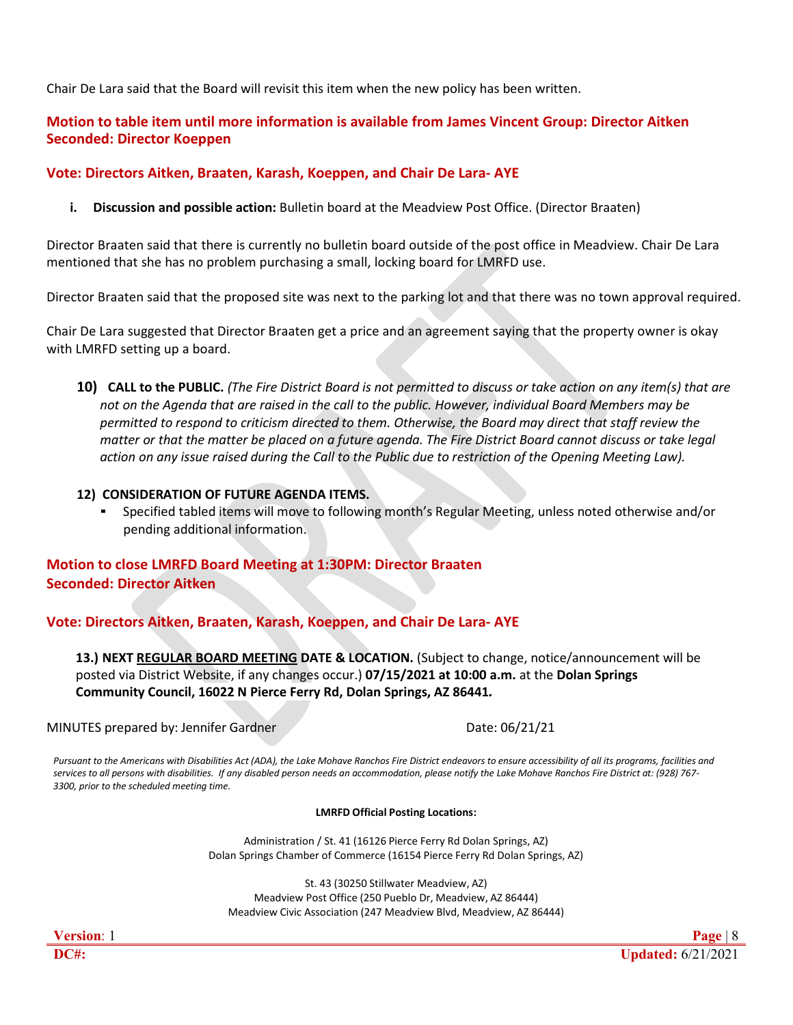Chair De Lara said that the Board will revisit this item when the new policy has been written.

# **Motion to table item until more information is available from James Vincent Group: Director Aitken Seconded: Director Koeppen**

# **Vote: Directors Aitken, Braaten, Karash, Koeppen, and Chair De Lara- AYE**

**i. Discussion and possible action:** Bulletin board at the Meadview Post Office. (Director Braaten)

Director Braaten said that there is currently no bulletin board outside of the post office in Meadview. Chair De Lara mentioned that she has no problem purchasing a small, locking board for LMRFD use.

Director Braaten said that the proposed site was next to the parking lot and that there was no town approval required.

Chair De Lara suggested that Director Braaten get a price and an agreement saying that the property owner is okay with LMRFD setting up a board.

10) CALL to the PUBLIC. (The Fire District Board is not permitted to discuss or take action on any item(s) that are *not on the Agenda that are raised in the call to the public. However, individual Board Members may be permitted to respond to criticism directed to them. Otherwise, the Board may direct that staff review the matter or that the matter be placed on a future agenda. The Fire District Board cannot discuss or take legal action on any issue raised during the Call to the Public due to restriction of the Opening Meeting Law).*

## **12) CONSIDERATION OF FUTURE AGENDA ITEMS.**

Specified tabled items will move to following month's Regular Meeting, unless noted otherwise and/or pending additional information.

# **Motion to close LMRFD Board Meeting at 1:30PM: Director Braaten Seconded: Director Aitken**

**Vote: Directors Aitken, Braaten, Karash, Koeppen, and Chair De Lara- AYE**

**13.) NEXT REGULAR BOARD MEETING DATE & LOCATION.** (Subject to change, notice/announcement will be posted via District Website, if any changes occur.) **07/15/2021 at 10:00 a.m.** at the **Dolan Springs Community Council, [16022 N Pierce Ferry Rd, Dolan Springs, AZ 86441](https://www.bing.com/local?lid=YN873x116727467&id=YN873x116727467&q=Dolan+Springs+Cmnty+Council&name=Dolan+Springs+Cmnty+Council&cp=35.590579986572266%7e-114.27348327636719&ppois=35.590579986572266_-114.27348327636719_Dolan+Springs+Cmnty+Council)***.*

MINUTES prepared by: Jennifer Gardner Date: 06/21/21

Pursuant to the Americans with Disabilities Act (ADA), the Lake Mohave Ranchos Fire District endeavors to ensure accessibility of all its programs, facilities and services to all persons with disabilities. If any disabled person needs an accommodation, please notify the Lake Mohave Ranchos Fire District at: (928) 767-*3300, prior to the scheduled meeting time.*

#### **LMRFD Official Posting Locations:**

Administration / St. 41 (16126 Pierce Ferry Rd Dolan Springs, AZ) Dolan Springs Chamber of Commerce (16154 Pierce Ferry Rd Dolan Springs, AZ)

St. 43 (30250 Stillwater Meadview, AZ) Meadview Post Office (250 Pueblo Dr, Meadview, AZ 86444) Meadview Civic Association (247 Meadview Blvd, Meadview, AZ 86444)